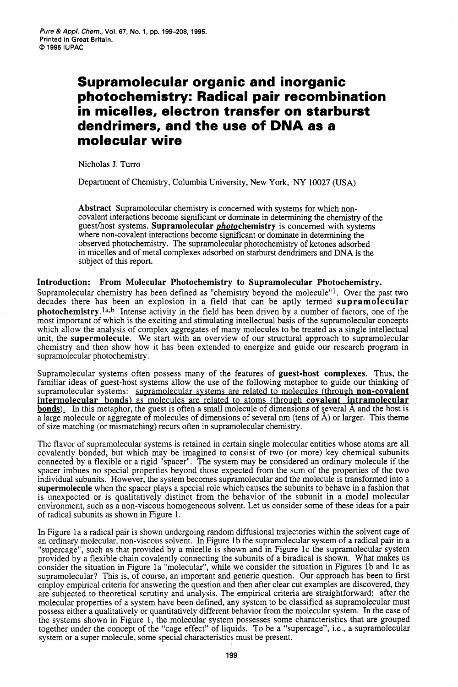# **Supramolecular organic and inorganic photochemistry: Radical pair recombination in micelles, electron transfer on starburst dendrimers, and the use of DNA as a molecular wire**

Nicholas J. Turro

Department of Chemistry, Columbia University, New York, NY 10027 (USA)

**Abstract** Supramolecular chemistry is concerned with systems for which noncovalent interactions become significant or dominate in determining the chemistry of the guest/host systems. **Supramolecular** *photoc***hemistry** is concerned with systems where non-covalent interactions become significant or dominate in determining the observed photochemistry. The supramolecular photochemistry of ketones adsorbed in micelles and of metal complexes adsorbed on starburst dendrimers and DNA is the subject of this report.

**Introduction: From Molecular Photochemistry to Supramolecular Photochemistry.**  Supramolecular chemistry has been defined as "chemistry beyond the molecule"1. Over the past two decades there has been an explosion in a field that can be aptly termed **supramolecular**  photochemistry.<sup>1a,b</sup> Intense activity in the field has been driven by a number of factors, one of the most important of which is the exciting and stimulating intellectual basis of the supramolecular concepts which allow the analysis of complex aggregates of many molecules to be treated as a single intellectual unit, the **supermolecule.** We start with an overview of our structural approach to supramolecular chemistry and then show how it has been extended to energize and guide our research program in supramolecular photochemistry.

Supramolecular systems often possess many of the features of **guest-host complexes.** Thus, the familiar ideas of guest-host systems allow the use of the following metaphor to guide our thinking of supramolecular systems: supramolecular systems are related to molecules (through **non-covalent intermolecular bonds)** as molecules are related to atoms (through **covalent intramolecular bonds**). In this metaphor, the guest is often a small molecule of dimensions of several A and the host is a large molecule or aggregate of molecules of dimensions of several nm (tens of **A)** or larger. This theme of size matching (or mismatching) recurs often in supramolecular chemistry.

The flavor of supramolecular systems is retained in certain single molecular entities whose atoms are all covalently bonded, but which may be imagined to consist of two (or more) key chemical subunits connected by a flexible or a rigid "spacer". The system may be considered an ordinary molecule if the spacer imbues no special properties beyond those expected from the sum of the properties of the two individual subunits. However, the system becomes supramolecular and the molecule is transformed into a **supermolecule** when the spacer plays a special role which causes the subunits to behave in a fashion that is unexpected or is qualitatively distinct from the behavior of the subunit in a model molecular environment, such as a non-viscous homogeneous solvent. Let us consider some of these ideas for a pair of radical subunits as shown in Figure 1.

In Figure la a radical pair is shown undergoing random diffusional trajectories within the solvent cage of an ordinary molecular, non-viscous solvent. In Figure lb the supramolecular system of a radical pair in a "supercage", such as that provided by a micelle is shown and in Figure lc the supramolecular system provided by a flexible chain covalently connecting the subunits of a biradical is shown. What makes us consider the situation in Figure la "molecular", while we consider the situation in Figures lb and lc as supramolecular? This is, of course, an important and generic question. Our approach has been to first employ empirical criteria for answering the question and then after clear cut examples are discovered, they are subjected to theoretical scrutiny and analysis. The empirical criteria are straightforward: after the molecular properties of a system have been defined, any system to be classified as supramolecular must possess either a qualitatively or quantitatively different behavior from the molecular system. In the case of the systems shown in Figure 1, the molecular system possesses some characteristics that are grouped together under the concept of the "cage effect" of liquids. To be a "supercage", i.e., a supramolecular system or a super molecule, some special characteristics must be present.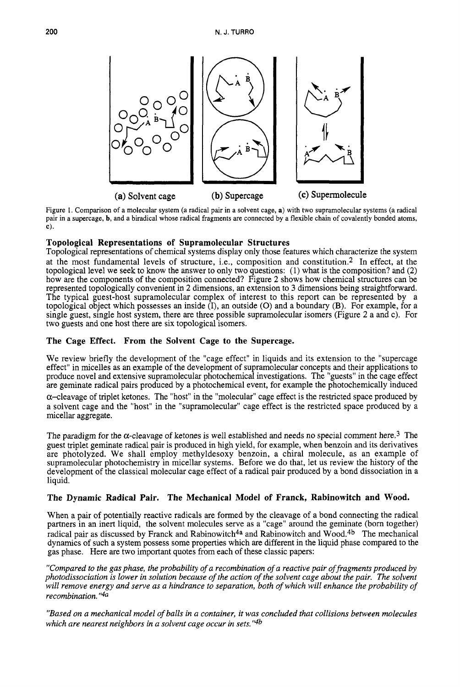

Figure 1. Comparison of a molecular system (a radical pair in a solvent cage, **a)** with two supramolecular systems (a radical pair in a supercage, **b,** and a biradical whose radical fragments are connected by a flexible chain of covalently bonded atoms, **c).** 

# **Topological Representations of Supramolecular Structures**

Topological representations of chemical systems display only those features which characterize the system at the most fundamental levels of structure, i.e., composition and constitution.<sup>2</sup> In effect, at the topological level we seek to know the answer to only two questions: (1) what is the composition? and **(2)**  how are the components of the composition connected? Figure **2** shows how chemical structures can be represented topologically convenient in **2** dimensions, an extension to 3 dimensions being straightforward. The typical guest-host supramolecular complex of interest to this report can be represented by a topological object which possesses an inside  $(1)$ , an outside  $(0)$  and a boundary  $(B)$ . For example, for a single guest, single host system, there are three possible supramolecular isomers (Figure **2** a and c). For two guests and one host there are six topological isomers.

# **The Cage Effect. From the Solvent Cage to the Supercage.**

We review briefly the development of the "cage effect" in liquids and its extension to the "supercage effect" in micelles as an example of the development of supramolecular concepts and their applications to produce novel and extensive supramolecular photochemical investigations. The "guests" in the cage effect are geminate radical pairs produced by a photochemical event, for example the photochemically induced a-cleavage of triplet ketones. The "host" in the "molecular" cage effect is the restricted space produced by a solvent cage and the "host" in the "supramolecular" cage effect is the restricted space produced by a micellar aggregate.

The paradigm for the  $\alpha$ -cleavage of ketones is well established and needs no special comment here.<sup>3</sup> The guest triplet geminate radical pair is produced in high yield, for example, when benzoin and its derivatives are photolyzed. We shall employ methyldesoxy benzoin, a chiral molecule, as an example of supramolecular photochemistry in micellar systems. Before we do that, let us review the history of the development of the classical molecular cage effect of **a** radical pair produced by a bond dissociation in a liquid.

## **The Dynamic Radical Pair. The Mechanical Model of Franck, Rabinowitch and Wood.**

When a pair of potentially reactive radicals are formed by the cleavage of a bond connecting the radical partners in an inert liquid, the solvent molecules serve as a "cage" around the geminate (born together) radical pair as discussed by Franck and Rabinowitch<sup>4a</sup> and Rabinowitch and Wood.<sup>4b</sup> The mechanical dynamics of such a system possess some properties which are different in the liquid phase compared to the gas phase. Here are two important quotes from each of these classic papers:

*"Compared to the gas phase, the probability* of *a recombination* of *a reactive pair* of *fragments produced by photodissociation is lower in solution because* of *the action* of *the solvent cage about the pair. The solvent will remove energy and serve as a hindrance to separation, both* of *which will enhance the probability of recombination. 'I4a* 

*"Based on a mechanical model* of *balls in a container, it was concluded that collisions between molecules which are nearest neighbors in a solvent cage occur in sets. "4b*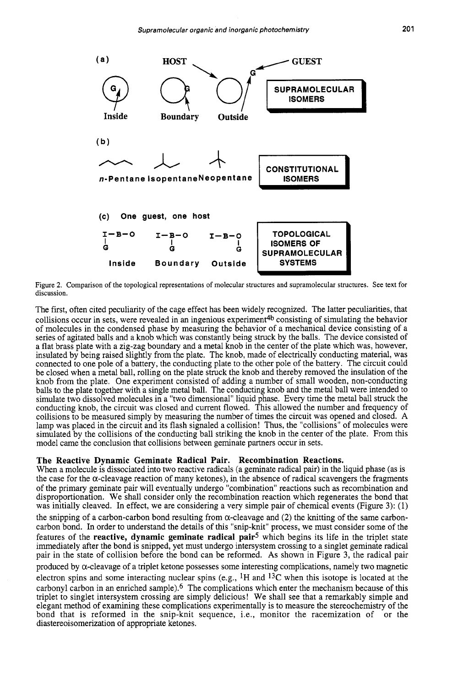

Figure **2.** Comparison of the topological representations of molecular structures and supramolecular structures. See text for discussion.

The first, often cited peculiarity of the cage effect has been widely recognized. The latter peculiarities, that collisions occur in sets, were revealed in an ingenious experiment<sup>4b</sup> consisting of simulating the behavior of molecules in the condensed phase by measuring the behavior of a mechanical device consisting of a series of agitated balls and a knob which was constantly being struck by the balls. The device consisted of a flat brass plate with a zig-zag boundary and a metal knob in the center of the plate which was, however, insulated by being raised slightly from the plate. The knob, made of electrically conducting material, was connected to one pole of a battery, the conducting plate to the other pole of the battery. The circuit could be closed when a metal ball, rolling on the plate struck the knob and thereby removed the insulation of the knob from the plate. One experiment consisted of adding a number of small wooden, non-conducting balls to the plate together with a single metal ball. The conducting knob and the metal ball were intended to simulate two dissolved molecules in a "two dimensional" liquid phase. Every time the metal ball struck the conducting knob, the circuit was closed and current flowed. This allowed the number and frequency of collisions to be measured simply by measuring the number of times the circuit was opened and closed. **A**  lamp was placed in the circuit and its flash signaled a collision! Thus, the "collisions" of molecules were simulated by the collisions of the conducting ball striking the knob in the center of the plate. From this model came the conclusion that collisions between geminate partners occur in sets.

#### **The Reactive Dynamic Geminate Radical Pair. Recombination Reactions.**

When a molecule is dissociated into two reactive radicals (a geminate radical pair) in the liquid phase (as is the case for the  $\alpha$ -cleavage reaction of many ketones), in the absence of radical scavengers the fragments of the primary geminate pair will eventually undergo "combination" reactions such as recombination and disproportionation. We shall consider only the recombination reaction which regenerates the bond that was initially cleaved. In effect, we are considering a very simple pair of chemical events (Figure 3): (1) the snipping of a carbon-carbon bond resulting from  $\alpha$ -cleavage and (2) the knitting of the same carboncarbon bond. In order to understand the details of this "snip-knit'' process, we must consider some of the features of the **reactive, dynamic geminate radical pairs** which begins its life in the triplet state immediately after the bond is snipped, yet must undergo intersystem crossing to a singlet geminate radical pair in the state of collision before the bond can be reformed. **As** shown in Figure 3, the radical pair produced by  $\alpha$ -cleavage of a triplet ketone possesses some interesting complications, namely two magnetic

electron spins and some interacting nuclear spins (e.g., 1H and **13C** when this isotope is located at the carbonyl carbon in an enriched sample).<sup>6</sup> The complications which enter the mechanism because of this triplet to singlet intersystem crossing are simply delicious! We shall see that a remarkably simple and elegant method of examining these complications experimentally is to measure the stereochemistry of the bond that is reformed in the snip-knit sequence, i.e., monitor the racemization of or the diastereoisomerization of appropriate ketones.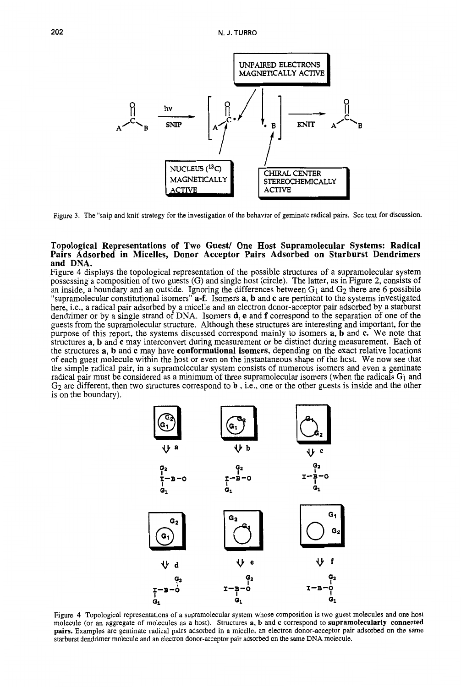

Figure 3. The "snip and knit' strategy for the investigation of the behavior of geminate radical pairs. See text for discussion.

#### **Topological Representations of Two Guest/ One Host Supramolecular Systems: Radical Pairs Adsorbed in Micelles, Donor Acceptor Pairs Adsorbed on Starburst Dendrimers and DNA.**

Figure 4 displays the topological representation of the possible structures of a supramolecular system possessing a composition of two guests (G) and single host (circle). The latter, as in Figure **2,** consists of an inside, a boundary and an outside. Ignoring the differences between  $G_1$  and  $G_2$  there are  $6$  possibile "supramolecular constitutional isomers" **a-f.** Isomers **a, b** and **c** are pertinent to the systems investigated here, i.e., a radical pair adsorbed by a micelle and an electron donor-acceptor pair adsorbed by a starburst dendrimer or by a single strand of DNA. Isomers **d, e** and **f** correspond to the separation of one of the guests from the supramolecular structure. Although these structures are interesting and important, for the purpose of this report, the systems discussed correspond mainly to isomers **a, b** and **c.** We note that structures **a, b** and **c** may interconvert during measurement or be distinct during measurement. Each of the structures **a, b** and **c** may have **conformational isomers,** depending on the exact relative locations of each guest molecule within the host or even on the instantaneous shape of the host. We now see that the simple radical pair, in a supramolecular system consists of numerous isomers and even a geminate radical pair must be considered as a minimum of three supramolecular isomers (when the radicals  $G<sub>1</sub>$  and G2 are different, then two structures correspond to **b** , i.e., one or the other guests is inside and the other is on the boundary).



Figure **4** Topological representations of a supramolecular system whose composition is two guest molecules and one host molecule (or an aggregate of molecules as a host). Structures **a, b** and **c** correspond to **supramolecularly connected pairs.** Examples are geminate radical pairs adsorbed in a micelle, an electron donor-acceptor pair adsorbed on the same starburst dendrimer molecule and an electron donor-acceptor pair adsorbed on the same **DNA** molecule.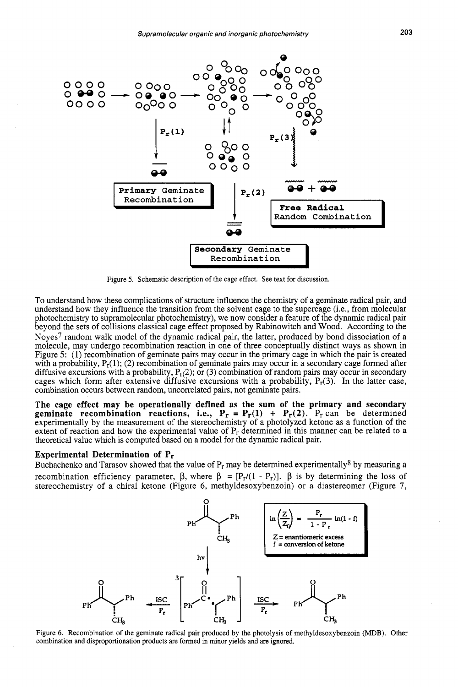

Figure *5.* Schematic description of the cage effect. See text for discussion.

To understand how these complications of structure influence the chemistry of a geminate radical pair, and understand how they influence the transition from the solvent cage to the supercage (i.e., from molecular photochemistry to supramolecular photochemistry), we now consider a feature of the dynamic radical pair beyond the sets of collisions classical cage effect proposed by Rabinowitch and Wood. According to the Noyes<sup>7</sup> random walk model of the dynamic radical pair, the latter, produced by bond dissociation of a molecule, may undergo recombination reaction in one of three conceptually distinct ways as shown in Figure 5: (1) recombination of geminate pairs may occur in the primary cage in which the pair is created with a probability, P<sub>r</sub>(1); (2) recombination of geminate pairs may occur in a secondary cage formed after diffusive excursions with a probability,  $P_T(2)$ ; or (3) combination of random pairs may occur in secondary cages which form after extensive diffusive excursions with a probability,  $P_r(3)$ . In the latter case, combination occurs between random, uncorrelated pairs, not geminate pairs.

**The cage effect may be operationally defined as the sum of the primary and secondary geminate recombination reactions, i.e.,**  $P_r = P_r(1) + P_r(2)$ **.**  $P_r$  can be determined experimentally by the measurement of the stereochemistry of a photolyzed ketone as a function of the extent of reaction and how the experimental value of  $P_r$  determined in this manner can be related to a theoretical value which is computed based on a model for the dynamic radical pair.

### **Experimental Determination of Pr**

Buchachenko and Tarasov showed that the value of  $P_r$  may be determined experimentally<sup>8</sup> by measuring a recombination efficiency parameter,  $\beta$ , where  $\beta = [P_r/(1 - P_r)]$ .  $\beta$  is by determining the loss of stereochemistry of a chiral ketone (Figure 6, methyldesoxybenzoin) or a diastereomer (Figure 7,



Figure *6.* Recombination of the geminate radical pair produced by the photolysis of methyldesoxybenzoin (MDB). Other combination and disproportionation products are formed in minor yields and are ignored.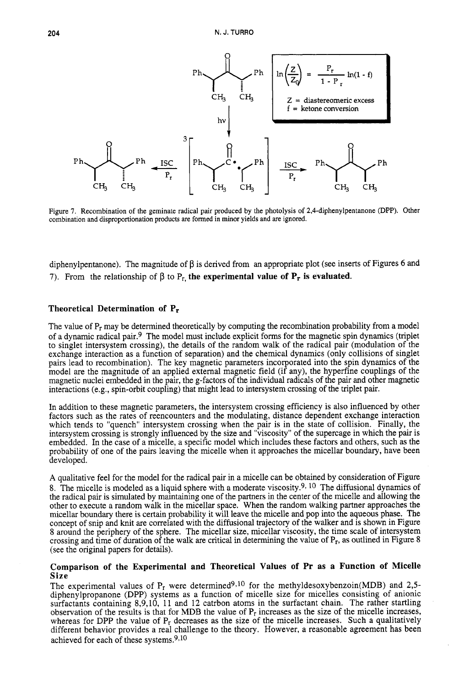

Figure **7.** Recombination of the geminate radical pair produced by the photolysis of 2,4-diphenylpentanone **(DPP).** Other combination and disproportionation products are formed in minor yields and are ignored.

diphenylpentanone). The magnitude of  $\beta$  is derived from an appropriate plot (see inserts of Figures 6 and 7). From the relationship of  $\beta$  to P<sub>r</sub>, the experimental value of P<sub>r</sub> is evaluated.

#### **Theoretical Determination of Pr**

The value of  $P_r$  may be determined theoretically by computing the recombination probability from a model of a dynamic radical pair.9 The model must include explicit forms for the magnetic spin dynamics (triplet to singlet intersystem crossing), the details of the random walk of the radical pair (modulation of the exchange interaction as a function of separation) and the chemical dynamics (only collisions of singlet pairs lead to recombination). The key magnetic parameters incorporated into the spin dynamics of the model are the magnitude of an applied external magnetic field (if any), the hyperfine couplings of the magnetic nuclei embedded in the pair, the g-factors of the individual radicals of the pair and other magnetic interactions (e.g., spin-orbit coupling) that might lead to intersystem crossing of the triplet pair.

In addition to these magnetic parameters, the intersystem crossing efficiency is also influenced by other factors such as the rates of reencounters and the modulating, distance dependent exchange interaction which tends to "quench" intersystem crossing when the pair is in the state of collision. Finally, the intersystem crossing is strongly influenced by the size and "viscosity" of the supercage in which the pair is embedded. In the case of a micelle, a specific model which includes these factors and others, such as the probability of one of the pairs leaving the micelle when it approaches the micellar boundary, have been developed.

**A** qualitative feel for the model for the radical pair in a micelle can be obtained by consideration of Figure 8. The micelle is modeled as a liquid sphere with a moderate viscosity.<sup>9, 10</sup> The diffusional dynamics of the radical pair is simulated by maintaining one of the partners in the center of the micelle and allowing the other to execute a random walk in the micellar space. When the random walking partner approaches the micellar boundary there is certain probability it will leave the micelle and pop into the aqueous phase. The concept of snip and knit are correlated with the diffusional trajectory of the walker and is shown in Figure 8 around the periphery of the sphere. The micellar size, micellar viscosity, the time scale of intersystem crossing and time of duration of the walk are critical in determining the value of  $P_r$ , as outlined in Figure 8 (see the original papers for details).

#### **Comparison of the Experimental and Theoretical Values of Pr as a Function of Micelle Size**

The experimental values of  $P_r$  were determined<sup>9,10</sup> for the methyldesoxybenzoin(MDB) and 2,5diphenylpropanone (DPP) systems as a function of micelle size for micelles consisting of anionic surfactants containing 8,9,10, 11 and **12** catrbon atoms in the surfactant chain. The rather startling observation of the results is that for MDB the value of  $P<sub>r</sub>$  increases as the size of the micelle increases, whereas for DPP the value of  $P_r$  decreases as the size of the micelle increases. Such a qualitatively different behavior provides a real challenge to the theory. However, a reasonable agreement has been achieved for each of these systems. $9,10$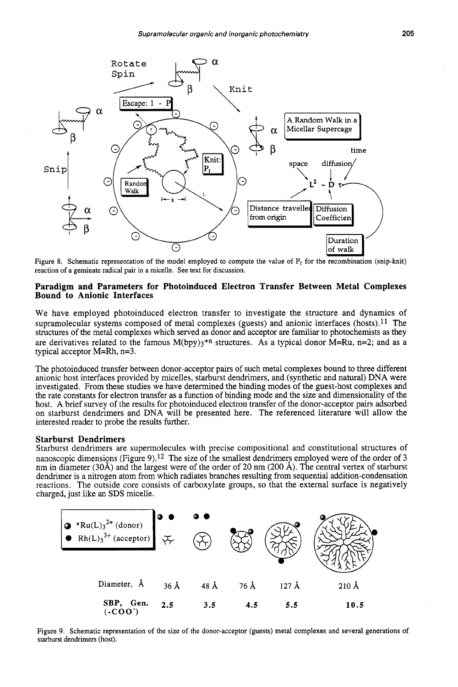

Figure 8. Schematic representation of the model employed to compute the value of  $P_f$  for the recombination (snip-knit) reaction **of** a geminate radical pair in a micelle. See text for discussion.

#### **Paradigm and Parameters for Photoinduced Electron Transfer Between Metal Complexes Bound to Anionic Interfaces**

We have employed photoinduced electron transfer to investigate the structure and dynamics of supramolecular systems composed of metal complexes (guests) and anionic interfaces (hosts).<sup>11</sup> The structures of the metal complexes which served **as** donor and acceptor are familiar to photochemists as they are derivatives related to the famous  $M(bpy)3^{+n}$  structures. As a typical donor M=Ru, n=2; and as a typical acceptor M=Rh, n=3.

The photoinduced transfer between donor-acceptor pairs of such metal complexes bound to three different anionic host interfaces provided by micelles, starburst dendrimers, and (synthetic and natural) DNA were investigated. From these studies we have determined the binding modes of the guest-host complexes and the rate constants for electron transfer as a function of binding mode and the size and dimensionality of the host. A brief survey of the results for photoinduced electron transfer of the donor-acceptor pairs adsorbed on starburst dendrimers and DNA will be presented here. The referenced literature will allow the interested reader to probe the results further.

#### **Starburst Dendrimers**

Starburst dendrimers are supermolecules with precise compositional and constitutional structures of nanoscopic dimensions (Figure 9).<sup>12</sup> The size of the smallest dendrimers employed were of the order of 3 nm in diameter (30A) and the largest were of the order of 20 nm (200 A). The central vertex of starburst dendrimer is a nitrogen atom from which radiates branches resulting from sequential addition-condensation reactions. The outside core consists of carboxylate groups, so that the external surface is negatively charged, just like an SDS micelle.



Figure 9. Schematic representation of the size of the donor-acceptor (guests) metal complexes and several generations of starburst dendrimers (host).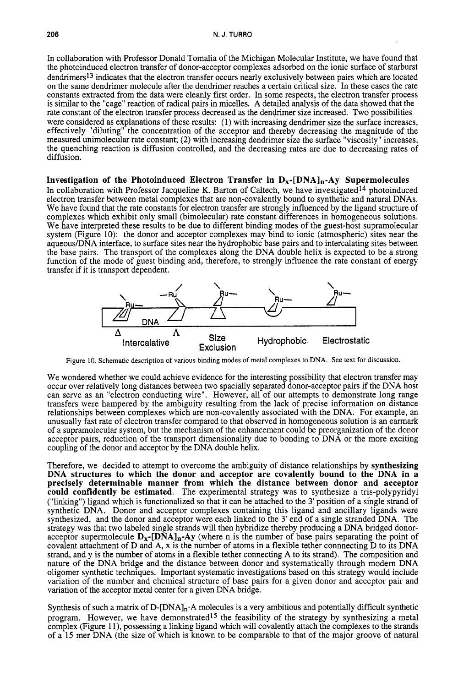In collaboration with Professor Donald Tomalia of the Michigan Molecular Institute, we have found that the photoinduced electron transfer of donor-acceptor complexes adsorbed on the ionic surface of starburst dendrimers<sup>13</sup> indicates that the electron transfer occurs nearly exclusively between pairs which are located on the same dendrimer molecule after the dendrimer reaches a certain critical size. In these cases the rate constants extracted from the data were cleanly first order. In some respects, the electron transfer process is similar to the "cage" reaction of radical pairs in micelles. A detailed analysis of the data showed that the rate constant of the electron transfer process decreased **as** the dendrimer size increased. Two possibilities were considered as explanations of these results: (1) with increasing dendrimer size the surface increases, effectively "diluting" the concentration of the acceptor and thereby decreasing the magnitude of the measured unimolecular rate constant; **(2)** with increasing dendrimer size the surface "viscosity" increases, the quenching reaction is diffusion controlled, and the decreasing rates are due to decreasing rates of diffusion.

#### **Investigation of the Photoinduced Electron Transfer in D<sub>x</sub>-[DNA]<sub>n</sub>-Ay Supermolecules**

In collaboration with Professor Jacqueline K. Barton of Caltech, we have investigated<sup>14</sup> photoinduced electron transfer between metal complexes that are non-covalently bound to synthetic and natural DNAs. We have found that the rate constants for electron transfer are strongly influenced by the ligand structure of complexes which exhibit only small (bimolecular) rate constant differences in homogeneous solutions. We have interpreted these results to be due to different binding modes of the guest-host supramolecular system (Figure 10): the donor and acceptor complexes may bind to ionic (atmospheric) sites near the aqueous/DNA interface, to surface sites near the hydrophobic base pairs and to intercalating sites between the base pairs. The transport of the complexes along the DNA double helix is expected to be a strong function of the mode of guest binding and, therefore, to strongly influence the rate constant of energy transfer if it is transport dependent.



Figure 10. Schematic description of various binding modes of metal complexes to **DNA.** See text for discussion.

We wondered whether we could achieve evidence for the interesting possibility that electron transfer may occur over relatively long distances between two spacially separated donor-acceptor pairs if the DNA host can serve as an "electron conducting wire". However, all of our attempts to demonstrate long range transfers were hampered by the ambiguity resulting from the lack of precise information on distance relationships between complexes which are non-covalently associated with the DNA. For example, an unusually fast rate of electron transfer compared to that observed in homogeneous solution is an earmark of a supramolecular system, but the mechanism of the enhancement could be preorganization of the donor acceptor pairs, reduction of the transport dimensionality due to bonding to DNA or the more exciting coupling of the donor and acceptor by the DNA double helix.

Therefore, we decided to attempt to overcome the ambiguity of distance relationships by **synthesizing**  DNA **structures to which the donor and acceptor are covalently bound to the** DNA **in a precisely determinable manner from which the distance between donor and acceptor could confidently be estimated.** The experimental strategy was to synthesize a tris-polypyridyl ("linking") ligand which is functionalized so that it can be attached to the 3' position of a single strand of synthetic DNA. Donor and acceptor complexes containing this ligand and ancillary ligands were synthesized, and the donor and acceptor were each linked to the 3' end of a single stranded DNA. The strategy was that two labeled single strands will then hybridize thereby producing a DNA bridged donoracceptor supermolecule  $D_x$ -[DNA]<sub>n</sub>-Ay (where n is the number of base pairs separating the point of covalent attachment of D and A, x is the number of atoms in a flexible tether connnecting D to its DNA strand, and y is the number of atoms in a flexible tether connecting A to its strand). The composition and nature of the DNA bridge and the distance between donor and systematically through modern DNA oligomer synthetic techniques. Important systematic investigations based on this strategy would include variation of the number and chemical structure of base pairs for a given donor and acceptor pair and variation of the acceptor metal center for a given DNA bridge.

Synthesis of such a matrix of D-[DNA]<sub>n</sub>-A molecules is a very ambitious and potentially difficult synthetic program. However, we have demonstrated<sup>15</sup> the feasibility of the strategy by synthesizing a metal complex (Figure 11), possessing a linking ligand which will covalently attach the complexes to the strands of a 15 mer DNA (the size of which is known to be comparable to that of the major groove of natural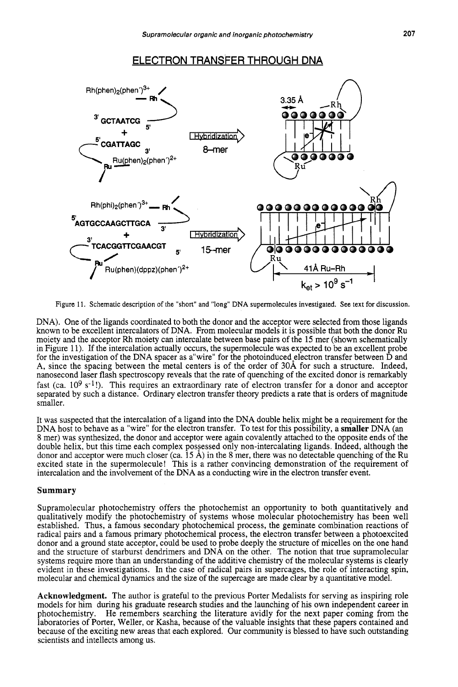

**Figure 11. Schematic description of the "short" and "long" DNA supermolecules investigated. See text for discussion.** 

**DNA).** One of the ligands coordinated to both the donor and the acceptor were selected from those ligands known to be excellent intercalators of **DNA.** From molecular models it is possible that both the donor Ru moiety and the acceptor Rh moiety can intercalate between base pairs of the 15 mer (shown schematically in Figure 11). If the intercalation actually occurs, the supermolecule was expected to be an excellent probe for the investigation of the **DNA** spacer as a"wire" for the photoinduced electron transfer between **D** and **A,** since the spacing between the metal centers is of the order of 30A for such a structure. Indeed, nanosecond laser flash spectroscopy reveals that the rate of quenching of the excited donor is remarkably fast (ca.  $10^9$  s<sup>-1</sup>!). This requires an extraordinary rate of electron transfer for a donor and acceptor separated by such a distance. Ordinary electron transfer theory predicts a rate that is orders of magnitude smaller.

It was suspected that the intercalation of a ligand into the **DNA** double helix might be a requirement for the **DNA** host to behave as a "wire" for the electron transfer. To test for this possibility, a **smaller DNA** (an 8 mer) was synthesized, the donor and acceptor were again covalently attached to the opposite ends of the double helix, but this time each complex possessed only non-intercalating ligands. Indeed, although the donor and acceptor were much closer (ca. 15 **A)** in the 8 mer, there was no detectable quenching of the Ru excited state in the supermolecule! This is a rather convincing demonstration of the requirement of intercalation and the involvement of the **DNA** as a conducting wire in the electron transfer event.

#### **Summary**

Supramolecular photochemistry offers the photochemist an opportunity to both quantitatively and qualitatively modify the photochemistry of systems whose molecular photochemistry has been well established. Thus, a famous secondary photochemical process, the geminate combination reactions of radical pairs and a famous primary photochemical process, the electron transfer between a photoexcited donor and a ground state acceptor, could be used to probe deeply the structure of micelles on the one hand and the structure of starburst dendrimers and **DNA** on the other. The notion that true supramolecular systems require more than an understanding of the additive chemistry of the molecular systems is clearly evident in these investigations. In the case of radical pairs in supercages, the role of interacting spin, molecular and chemical dynamics and the size of the supercage are made clear by a quantitative model.

**Acknowledgment.** The author is grateful to the previous Porter Medalists for serving as inspiring role models for him during his graduate research studies and the launching of his own independent career in photochemistry. He remembers searching the literature avidly for the next paper coming from the laboratories of Porter, Weller, or Kasha, because of the valuable insights that these papers contained and because of the exciting new areas that each explored. Our community is blessed to have such outstanding scientists and intellects among us.